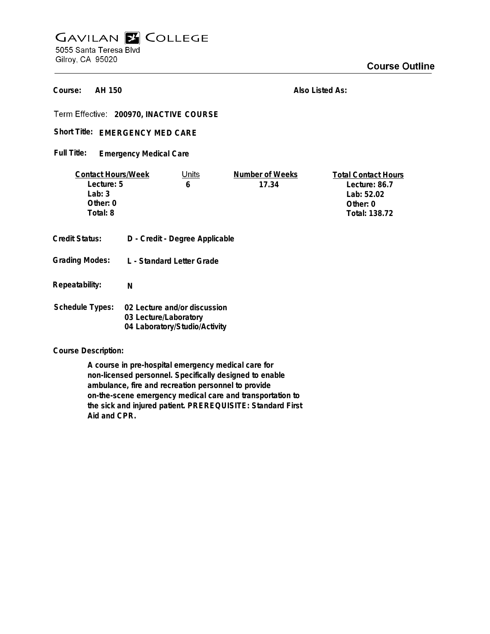# **GAVILAN E COLLEGE** 5055 Santa Teresa Blvd Gilroy, CA 95020

**Course Outline** 

**AH 150 Course:**

**Also Listed As:**

**200970, INACTIVE COURSE**

Short Title: EMERGENCY MED CARE

**Emergency Medical Care Full Title:**

| <b>Contact Hours/Week</b><br>Lecture: 5<br>Lab: $3$<br>Other: 0<br>Total: 8 |                                                                                        | Units<br>6 | Number of Weeks<br>17.34 | <b>Total Contact Hours</b><br>Lecture: 86.7<br>Lab: 52.02<br>Other: 0<br>Total: 138.72 |
|-----------------------------------------------------------------------------|----------------------------------------------------------------------------------------|------------|--------------------------|----------------------------------------------------------------------------------------|
| <b>Credit Status:</b>                                                       | D - Credit - Degree Applicable                                                         |            |                          |                                                                                        |
| <b>Grading Modes:</b>                                                       | L - Standard Letter Grade                                                              |            |                          |                                                                                        |
| Repeatability:                                                              | N                                                                                      |            |                          |                                                                                        |
| <b>Schedule Types:</b>                                                      | 02 Lecture and/or discussion<br>03 Lecture/Laboratory<br>04 Laboratory/Studio/Activity |            |                          |                                                                                        |

**Course Description:**

**A course in pre-hospital emergency medical care for non-licensed personnel. Specifically designed to enable ambulance, fire and recreation personnel to provide on-the-scene emergency medical care and transportation to the sick and injured patient. PREREQUISITE: Standard First Aid and CPR.**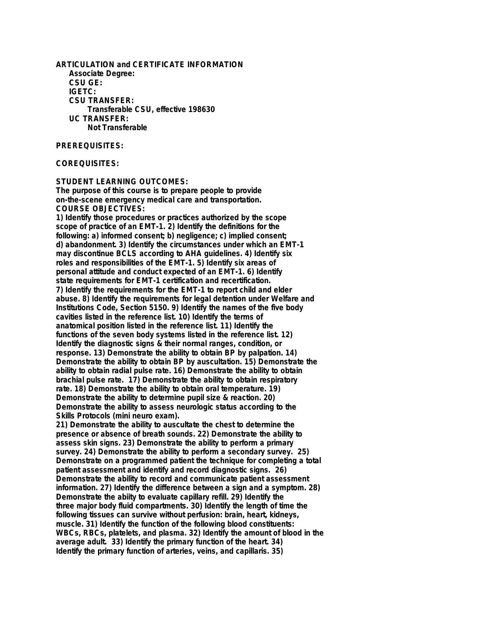**ARTICULATION and CERTIFICATE INFORMATION Associate Degree: CSU GE: IGETC: CSU TRANSFER: Transferable CSU, effective 198630 UC TRANSFER: Not Transferable**

#### **PREREQUISITES:**

### **COREQUISITES:**

#### **STUDENT LEARNING OUTCOMES:**

**The purpose of this course is to prepare people to provide on-the-scene emergency medical care and transportation. COURSE OBJECTIVES:**

**1) Identify those procedures or practices authorized by the scope scope of practice of an EMT-1. 2) Identify the definitions for the following: a) informed consent; b) negligence; c) implied consent; d) abandonment. 3) Identify the circumstances under which an EMT-1 may discontinue BCLS according to AHA guidelines. 4) Identify six roles and responsibilities of the EMT-1. 5) Identify six areas of personal attitude and conduct expected of an EMT-1. 6) Identify state requirements for EMT-1 certification and recertification. 7) Identify the requirements for the EMT-1 to report child and elder abuse. 8) Identify the requirements for legal detention under Welfare and Institutions Code, Section 5150. 9) Identify the names of the five body cavities listed in the reference list. 10) Identify the terms of anatomical position listed in the reference list. 11) Identify the functions of the seven body systems listed in the reference list. 12) Identify the diagnostic signs & their normal ranges, condition, or response. 13) Demonstrate the ability to obtain BP by palpation. 14) Demonstrate the ability to obtain BP by auscultation. 15) Demonstrate the ability to obtain radial pulse rate. 16) Demonstrate the ability to obtain brachial pulse rate. 17) Demonstrate the ability to obtain respiratory rate. 18) Demonstrate the ability to obtain oral temperature. 19) Demonstrate the ability to determine pupil size & reaction. 20) Demonstrate the ability to assess neurologic status according to the Skills Protocols (mini neuro exam).**

**21) Demonstrate the ability to auscultate the chest to determine the presence or absence of breath sounds. 22) Demonstrate the ability to assess skin signs. 23) Demonstrate the ability to perform a primary survey. 24) Demonstrate the ability to perform a secondary survey. 25) Demonstrate on a programmed patient the technique for completing a total patient assessment and identify and record diagnostic signs. 26) Demonstrate the ability to record and communicate patient assessment information. 27) Identify the difference between a sign and a symptom. 28) Demonstrate the abiity to evaluate capillary refill. 29) Identify the three major body fluid compartments. 30) Identify the length of time the following tissues can survive without perfusion: brain, heart, kidneys, muscle. 31) Identify the function of the following blood constituents: WBCs, RBCs, platelets, and plasma. 32) Identify the amount of blood in the average adult. 33) Identify the primary function of the heart. 34) Identify the primary function of arteries, veins, and capillaris. 35)**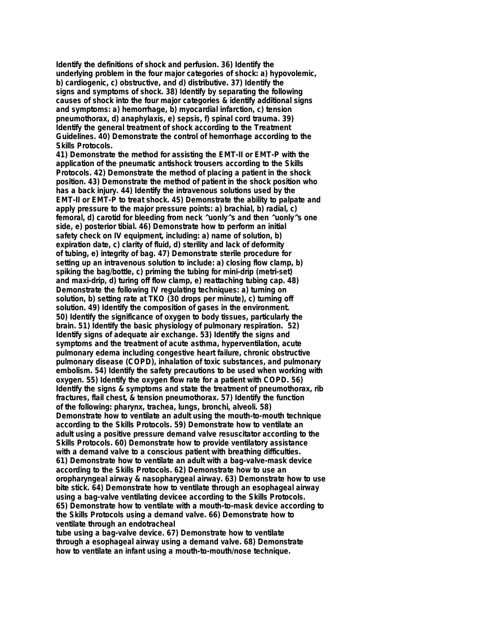**Identify the definitions of shock and perfusion. 36) Identify the underlying problem in the four major categories of shock: a) hypovolemic, b) cardiogenic, c) obstructive, and d) distributive. 37) Identify the signs and symptoms of shock. 38) Identify by separating the following causes of shock into the four major categories & identify additional signs and symptoms: a) hemorrhage, b) myocardial infarction, c) tension pneumothorax, d) anaphylaxis, e) sepsis, f) spinal cord trauma. 39) Identify the general treatment of shock according to the Treatment Guidelines. 40) Demonstrate the control of hemorrhage according to the Skills Protocols.**

**41) Demonstrate the method for assisting the EMT-II or EMT-P with the application of the pneumatic antishock trousers according to the Skills Protocols. 42) Demonstrate the method of placing a patient in the shock position. 43) Demonstrate the method of patient in the shock position who has a back injury. 44) Identify the intravenous solutions used by the EMT-II or EMT-P to treat shock. 45) Demonstrate the ability to palpate and apply pressure to the major pressure points: a) brachial, b) radial, c) femoral, d) carotid for bleeding from neck ^uonly^s and then ^uonly^s one side, e) posterior tibial. 46) Demonstrate how to perform an initial safety check on IV equipment, including: a) name of solution, b) expiration date, c) clarity of fluid, d) sterility and lack of deformity of tubing, e) integrity of bag. 47) Demonstrate sterile procedure for setting up an intravenous solution to include: a) closing flow clamp, b) spiking the bag/bottle, c) priming the tubing for mini-drip (metri-set) and maxi-drip, d) turing off flow clamp, e) reattaching tubing cap. 48) Demonstrate the following IV regulating techniques: a) turning on solution, b) setting rate at TKO (30 drops per minute), c) turning off solution. 49) Identify the composition of gases in the environment. 50) Identify the significance of oxygen to body tissues, particularly the brain. 51) Identify the basic physiology of pulmonary respiration. 52) Identify signs of adequate air exchange. 53) Identify the signs and symptoms and the treatment of acute asthma, hyperventilation, acute pulmonary edema including congestive heart failure, chronic obstructive pulmonary disease (COPD), inhalation of toxic substances, and pulmonary embolism. 54) Identify the safety precautions to be used when working with oxygen. 55) Identify the oxygen flow rate for a patient with COPD. 56) Identify the signs & symptoms and state the treatment of pneumothorax, rib fractures, flail chest, & tension pneumothorax. 57) Identify the function of the following: pharynx, trachea, lungs, bronchi, alveoli. 58) Demonstrate how to ventilate an adult using the mouth-to-mouth technique according to the Skills Protocols. 59) Demonstrate how to ventilate an adult using a positive pressure demand valve resuscitator according to the Skills Protocols. 60) Demonstrate how to provide ventilatory assistance with a demand valve to a conscious patient with breathing difficulties. 61) Demonstrate how to ventilate an adult with a bag-valve-mask device according to the Skills Protocols. 62) Demonstrate how to use an oropharyngeal airway & nasopharygeal airway. 63) Demonstrate how to use bite stick. 64) Demonstrate how to ventilate through an esophageal airway using a bag-valve ventilating devicee according to the Skills Protocols. 65) Demonstrate how to ventilate with a mouth-to-mask device according to the Skills Protocols using a demand valve. 66) Demonstrate how to ventilate through an endotracheal**

**tube using a bag-valve device. 67) Demonstrate how to ventilate through a esophageal airway using a demand valve. 68) Demonstrate how to ventilate an infant using a mouth-to-mouth/nose technique.**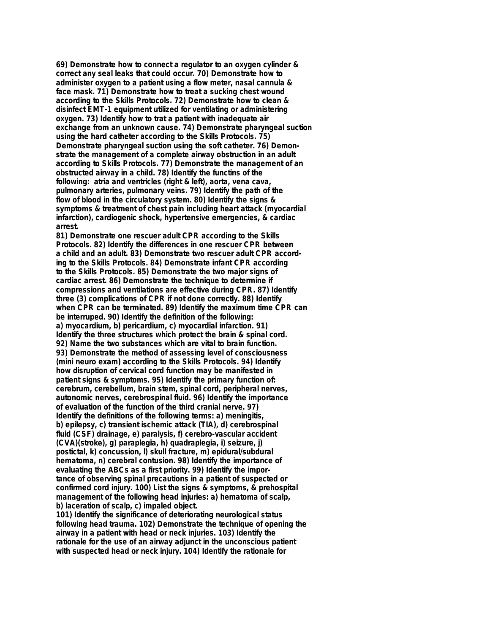**69) Demonstrate how to connect a regulator to an oxygen cylinder & correct any seal leaks that could occur. 70) Demonstrate how to administer oxygen to a patient using a flow meter, nasal cannula & face mask. 71) Demonstrate how to treat a sucking chest wound according to the Skills Protocols. 72) Demonstrate how to clean & disinfect EMT-1 equipment utilized for ventilating or administering oxygen. 73) Identify how to trat a patient with inadequate air exchange from an unknown cause. 74) Demonstrate pharyngeal suction using the hard catheter according to the Skills Protocols. 75) Demonstrate pharyngeal suction using the soft catheter. 76) Demonstrate the management of a complete airway obstruction in an adult according to Skills Protocols. 77) Demonstrate the management of an obstructed airway in a child. 78) Identify the functins of the following: atria and ventricles (right & left), aorta, vena cava, pulmonary arteries, pulmonary veins. 79) Identify the path of the flow of blood in the circulatory system. 80) Identify the signs & symptoms & treatment of chest pain including heart attack (myocardial infarction), cardiogenic shock, hypertensive emergencies, & cardiac arrest.**

**81) Demonstrate one rescuer adult CPR according to the Skills Protocols. 82) Identify the differences in one rescuer CPR between a child and an adult. 83) Demonstrate two rescuer adult CPR according to the Skills Protocols. 84) Demonstrate infant CPR according to the Skills Protocols. 85) Demonstrate the two major signs of cardiac arrest. 86) Demonstrate the technique to determine if compressions and ventilations are effective during CPR. 87) Identify three (3) complications of CPR if not done correctly. 88) Identify when CPR can be terminated. 89) Identify the maximum time CPR can be interruped. 90) Identify the definition of the following: a) myocardium, b) pericardium, c) myocardial infarction. 91) Identify the three structures which protect the brain & spinal cord. 92) Name the two substances which are vital to brain function. 93) Demonstrate the method of assessing level of consciousness (mini neuro exam) according to the Skills Protocols. 94) Identify how disruption of cervical cord function may be manifested in patient signs & symptoms. 95) Identify the primary function of: cerebrum, cerebellum, brain stem, spinal cord, peripheral nerves, autonomic nerves, cerebrospinal fluid. 96) Identify the importance of evaluation of the function of the third cranial nerve. 97) Identify the definitions of the following terms: a) meningitis, b) epilepsy, c) transient ischemic attack (TIA), d) cerebrospinal fluid (CSF) drainage, e) paralysis, f) cerebro-vascular accident (CVA)(stroke), g) paraplegia, h) quadraplegia, i) seizure, j) postictal, k) concussion, l) skull fracture, m) epidural/subdural hematoma, n) cerebral contusion. 98) Identify the importance of evaluating the ABCs as a first priority. 99) Identify the importance of observing spinal precautions in a patient of suspected or confirmed cord injury. 100) List the signs & symptoms, & prehospital management of the following head injuries: a) hematoma of scalp, b) laceration of scalp, c) impaled object.**

**101) Identify the significance of deteriorating neurological status following head trauma. 102) Demonstrate the technique of opening the airway in a patient with head or neck injuries. 103) Identify the rationale for the use of an airway adjunct in the unconscious patient with suspected head or neck injury. 104) Identify the rationale for**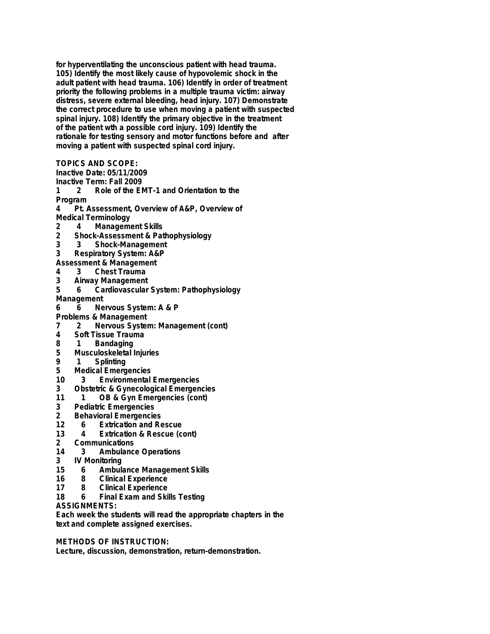**for hyperventilating the unconscious patient with head trauma. 105) Identify the most likely cause of hypovolemic shock in the adult patient with head trauma. 106) Identify in order of treatment priority the following problems in a multiple trauma victim: airway distress, severe external bleeding, head injury. 107) Demonstrate the correct procedure to use when moving a patient with suspected spinal injury. 108) Identify the primary objective in the treatment of the patient wth a possible cord injury. 109) Identify the rationale for testing sensory and motor functions before and after moving a patient with suspected spinal cord injury.**

**TOPICS AND SCOPE:**

**Inactive Date: 05/11/2009**

**Inactive Term: Fall 2009**

**1 2 Role of the EMT-1 and Orientation to the Program**

**4 Pt. Assessment, Overview of A&P, Overview of Medical Terminology**

- **2 4 Management Skills**
- **2 Shock-Assessment & Pathophysiology**
- **3 3 Shock-Management**
- **3 Respiratory System: A&P**
- **Assessment & Management**
- **4 3 Chest Trauma**
- **3 Airway Management**
- **5 6 Cardiovascular System: Pathophysiology**
- **Management**
- **6 6 Nervous System: A & P**
- **Problems & Management**
- **7 2 Nervous System: Management (cont)**
- **4 Soft Tissue Trauma**
- **8 1 Bandaging**
- **5 Musculoskeletal Injuries**
- **9 1 Splinting**
- **5 Medical Emergencies**
- **10 3 Environmental Emergencies**
- **3 Obstetric & Gynecological Emergencies**
- **11 1 OB & Gyn Emergencies (cont)**
- **3 Pediatric Emergencies**
- **2 Behavioral Emergencies**
- **12 6 Extrication and Rescue**
- **13 4 Extrication & Rescue (cont)**
- **2 Communications**
- **14 3 Ambulance Operations**
- **3 IV Monitoring**
- **15 6 Ambulance Management Skills**
- **16 8 Clinical Experience**
- **17 8 Clinical Experience**
- **18 6 Final Exam and Skills Testing**
- **ASSIGNMENTS:**

**Each week the students will read the appropriate chapters in the text and complete assigned exercises.**

## **METHODS OF INSTRUCTION:**

**Lecture, discussion, demonstration, return-demonstration.**